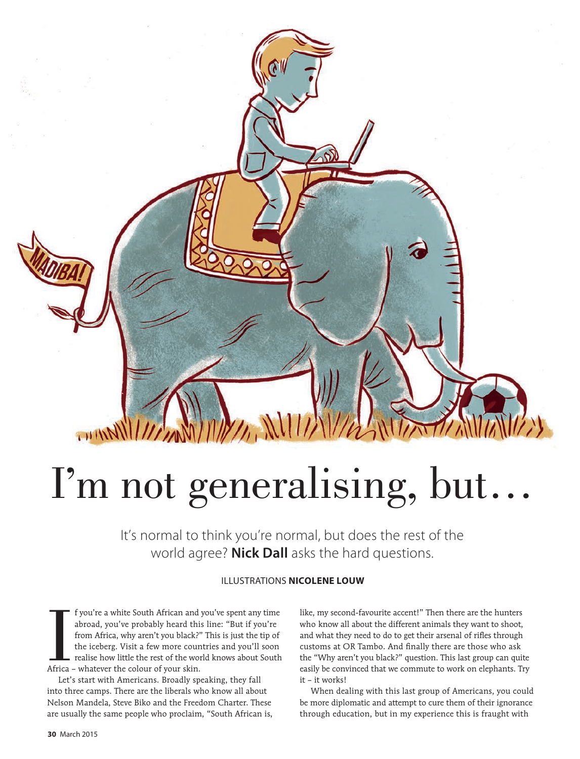## I'm not generalising, but…

It's normal to think you're normal, but does the rest of the world agree? **Nick Dall** asks the hard questions.

## ILLUSTRATIONS **NICOLENE LOUW**

I f you're a white South African and<br>abroad, you've probably heard thi<br>from Africa, why aren't you black?<br>the iceberg. Visit a few more cour<br>realise how little the rest of the wo<br>Africa – whatever the colour of your skin. f you're a white South African and you've spent any time abroad, you've probably heard this line: "But if you're from Africa, why aren't you black?" This is just the tip of the iceberg. Visit a few more countries and you'll soon realise how little the rest of the world knows about South

Let's start with Americans. Broadly speaking, they fall into three camps. There are the liberals who know all about Nelson Mandela, Steve Biko and the Freedom Charter. These are usually the same people who proclaim, "South African is, like, my second-favourite accent!" Then there are the hunters who know all about the different animals they want to shoot, and what they need to do to get their arsenal of rifles through customs at OR Tambo. And finally there are those who ask the "Why aren't you black?" question. This last group can quite easily be convinced that we commute to work on elephants. Try it – it works!

When dealing with this last group of Americans, you could be more diplomatic and attempt to cure them of their ignorance through education, but in my experience this is fraught with